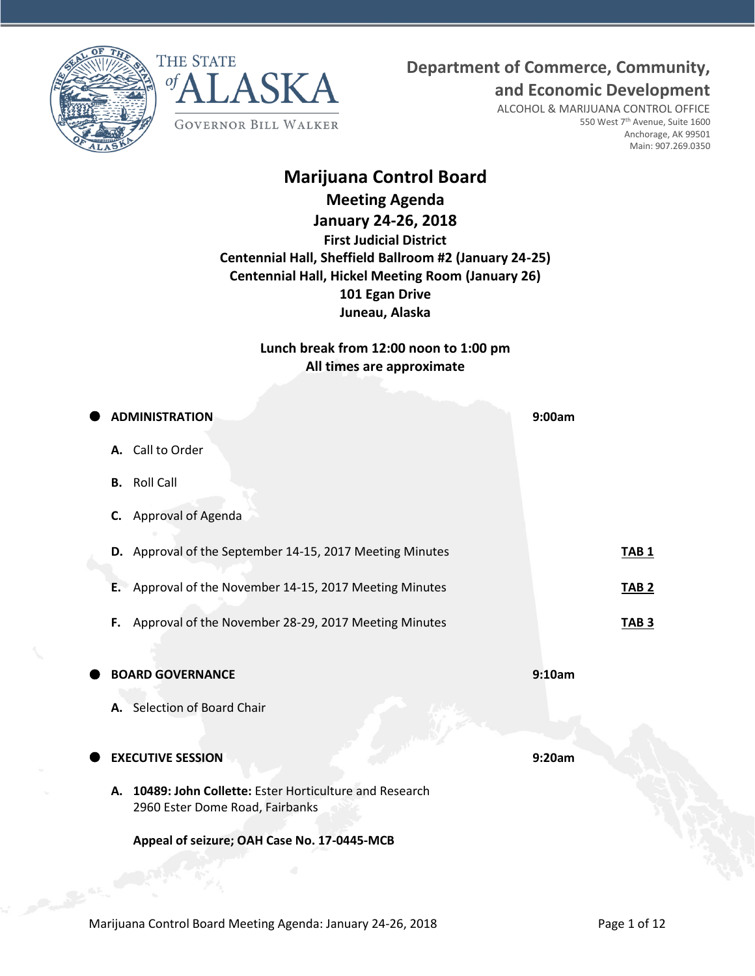**Department of Commerce, Community,**





ALCOHOL & MARIJUANA CONTROL OFFICE 550 West 7<sup>th</sup> Avenue, Suite 1600 Anchorage, AK 99501 Main: 907.269.0350

**and Economic Development**

# **Marijuana Control Board**

# **Meeting Agenda**

**January 24-26, 2018 First Judicial District Centennial Hall, Sheffield Ballroom #2 (January 24-25) Centennial Hall, Hickel Meeting Room (January 26) 101 Egan Drive Juneau, Alaska**

> **Lunch break from 12:00 noon to 1:00 pm All times are approximate**

| <b>ADMINISTRATION</b>                                                                          | 9:00am       |
|------------------------------------------------------------------------------------------------|--------------|
| A. Call to Order                                                                               |              |
| <b>B.</b> Roll Call                                                                            |              |
| Approval of Agenda<br>C.                                                                       |              |
| D. Approval of the September 14-15, 2017 Meeting Minutes                                       | <b>TAB1</b>  |
| E. Approval of the November 14-15, 2017 Meeting Minutes                                        | <b>TAB 2</b> |
| Approval of the November 28-29, 2017 Meeting Minutes<br>F.                                     | <b>TAB 3</b> |
|                                                                                                |              |
| <b>BOARD GOVERNANCE</b>                                                                        | 9:10am       |
| A. Selection of Board Chair                                                                    |              |
| <b>EXECUTIVE SESSION</b>                                                                       | 9:20am       |
| 10489: John Collette: Ester Horticulture and Research<br>А.<br>2960 Ester Dome Road, Fairbanks |              |
| Appeal of seizure; OAH Case No. 17-0445-MCB                                                    |              |
|                                                                                                |              |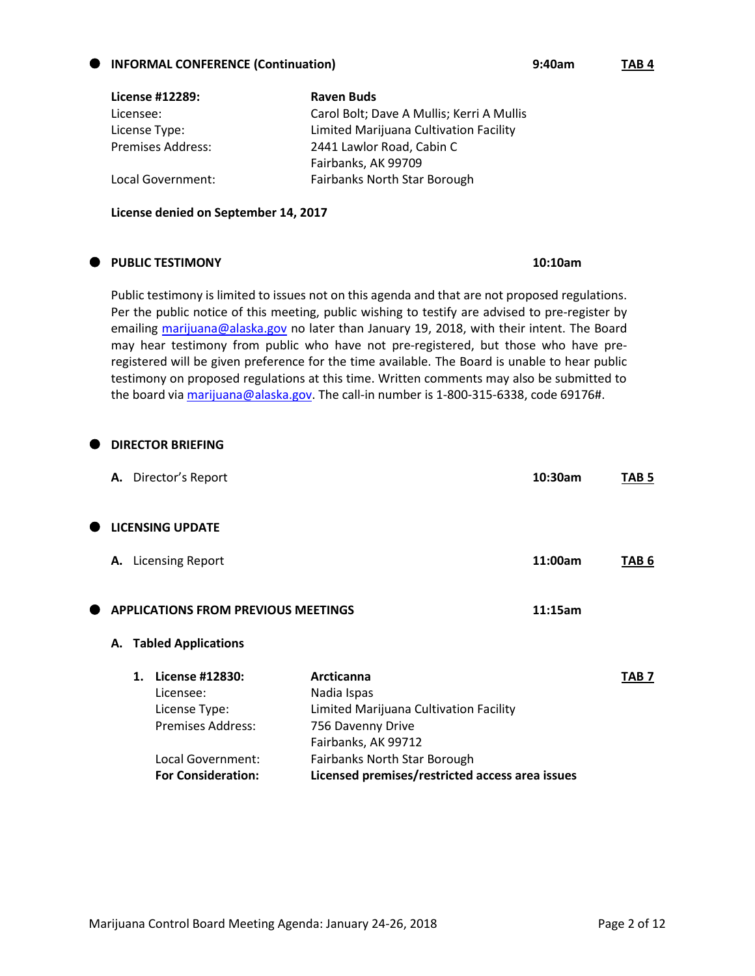| License #12289:          | <b>Raven Buds</b>                         |
|--------------------------|-------------------------------------------|
| Licensee:                | Carol Bolt; Dave A Mullis; Kerri A Mullis |
| License Type:            | Limited Marijuana Cultivation Facility    |
| <b>Premises Address:</b> | 2441 Lawlor Road, Cabin C                 |
|                          | Fairbanks, AK 99709                       |
| Local Government:        | <b>Fairbanks North Star Borough</b>       |

**License denied on September 14, 2017**

### **PUBLIC TESTIMONY 10:10am**

Public testimony is limited to issues not on this agenda and that are not proposed regulations. Per the public notice of this meeting, public wishing to testify are advised to pre-register by emailing [marijuana@alaska.gov](mailto:marijuana@alaska.gov) no later than January 19, 2018, with their intent. The Board may hear testimony from public who have not pre-registered, but those who have preregistered will be given preference for the time available. The Board is unable to hear public testimony on proposed regulations at this time. Written comments may also be submitted to the board via [marijuana@alaska.gov.](mailto:marijuana@alaska.gov) The call-in number is 1-800-315-6338, code 69176#.

| ●         |    | <b>DIRECTOR BRIEFING</b>                                                  |                                                                                                                 |         |                  |
|-----------|----|---------------------------------------------------------------------------|-----------------------------------------------------------------------------------------------------------------|---------|------------------|
|           |    | A. Director's Report                                                      |                                                                                                                 | 10:30am | TAB 5            |
| $\bullet$ |    | <b>LICENSING UPDATE</b>                                                   |                                                                                                                 |         |                  |
|           |    | A. Licensing Report                                                       |                                                                                                                 | 11:00am | TAB 6            |
| Œ         |    | <b>APPLICATIONS FROM PREVIOUS MEETINGS</b>                                |                                                                                                                 | 11:15am |                  |
|           |    | A. Tabled Applications                                                    |                                                                                                                 |         |                  |
|           | 1. | License #12830:<br>Licensee:<br>License Type:<br><b>Premises Address:</b> | Arcticanna<br>Nadia Ispas<br>Limited Marijuana Cultivation Facility<br>756 Davenny Drive<br>Fairbanks, AK 99712 |         | TAB <sub>7</sub> |

**For Consideration: Licensed premises/restricted access area issues**

Local Government: Fairbanks North Star Borough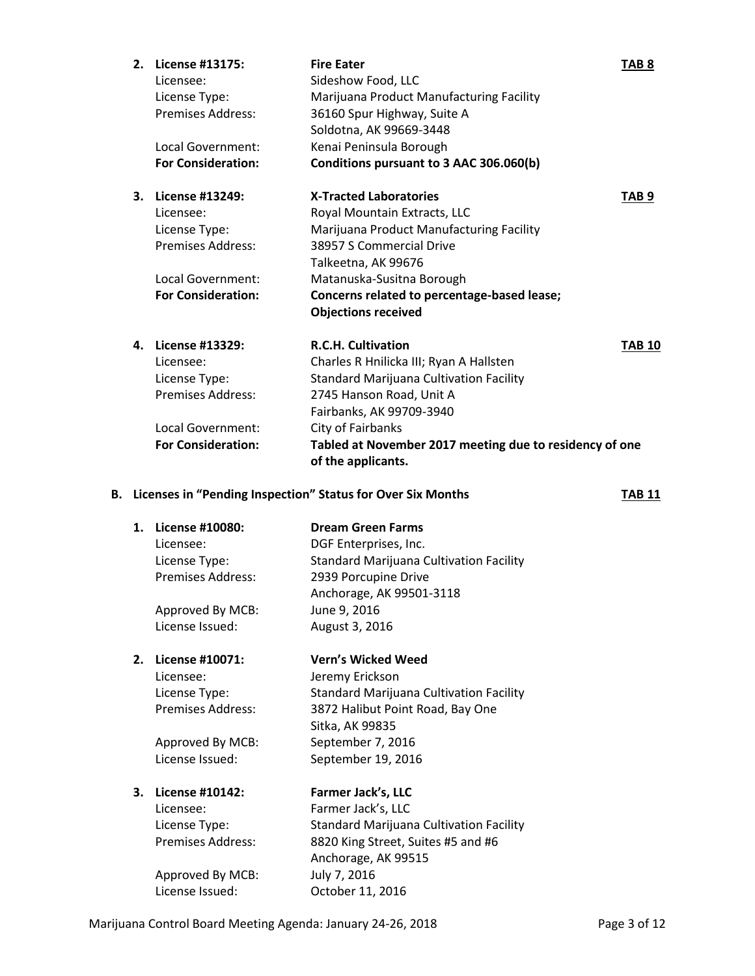| 2. | License #13175:           | <b>Fire Eater</b>                                                             | TAB <sub>8</sub> |
|----|---------------------------|-------------------------------------------------------------------------------|------------------|
|    | Licensee:                 | Sideshow Food, LLC                                                            |                  |
|    | License Type:             | Marijuana Product Manufacturing Facility                                      |                  |
|    | <b>Premises Address:</b>  | 36160 Spur Highway, Suite A                                                   |                  |
|    |                           | Soldotna, AK 99669-3448                                                       |                  |
|    | Local Government:         | Kenai Peninsula Borough                                                       |                  |
|    | <b>For Consideration:</b> | Conditions pursuant to 3 AAC 306.060(b)                                       |                  |
| 3. | License #13249:           | <b>X-Tracted Laboratories</b>                                                 | TAB <sub>9</sub> |
|    | Licensee:                 | Royal Mountain Extracts, LLC                                                  |                  |
|    | License Type:             | Marijuana Product Manufacturing Facility                                      |                  |
|    | <b>Premises Address:</b>  | 38957 S Commercial Drive                                                      |                  |
|    |                           | Talkeetna, AK 99676                                                           |                  |
|    | Local Government:         | Matanuska-Susitna Borough                                                     |                  |
|    | <b>For Consideration:</b> | Concerns related to percentage-based lease;                                   |                  |
|    |                           | <b>Objections received</b>                                                    |                  |
| 4. | License #13329:           | <b>R.C.H. Cultivation</b>                                                     | <b>TAB 10</b>    |
|    | Licensee:                 | Charles R Hnilicka III; Ryan A Hallsten                                       |                  |
|    | License Type:             | <b>Standard Marijuana Cultivation Facility</b>                                |                  |
|    | <b>Premises Address:</b>  | 2745 Hanson Road, Unit A                                                      |                  |
|    |                           | Fairbanks, AK 99709-3940                                                      |                  |
|    | Local Government:         | City of Fairbanks                                                             |                  |
|    | <b>For Consideration:</b> | Tabled at November 2017 meeting due to residency of one<br>of the applicants. |                  |
|    |                           | B. Licenses in "Pending Inspection" Status for Over Six Months                | <b>TAB 11</b>    |
|    |                           |                                                                               |                  |

**1. License #10080: Dream Green Farms** Licensee: DGF Enterprises, Inc. License Type: Standard Marijuana Cultivation Facility Premises Address: 2939 Porcupine Drive Anchorage, AK 99501-3118 Approved By MCB: June 9, 2016 License Issued: August 3, 2016

**2. License #10071: Vern's Wicked Weed** Licensee: Jeremy Erickson License Type: Standard Marijuana Cultivation Facility Premises Address: 3872 Halibut Point Road, Bay One Sitka, AK 99835 Approved By MCB: September 7, 2016 License Issued: September 19, 2016

### **3. License #10142: Farmer Jack's, LLC** Licensee: Farmer Jack's, LLC License Type: Standard Marijuana Cultivation Facility Premises Address: 8820 King Street, Suites #5 and #6 Anchorage, AK 99515 Approved By MCB: July 7, 2016 License Issued: October 11, 2016

Marijuana Control Board Meeting Agenda: January 24-26, 2018 **Page 3 of 12** Page 3 of 12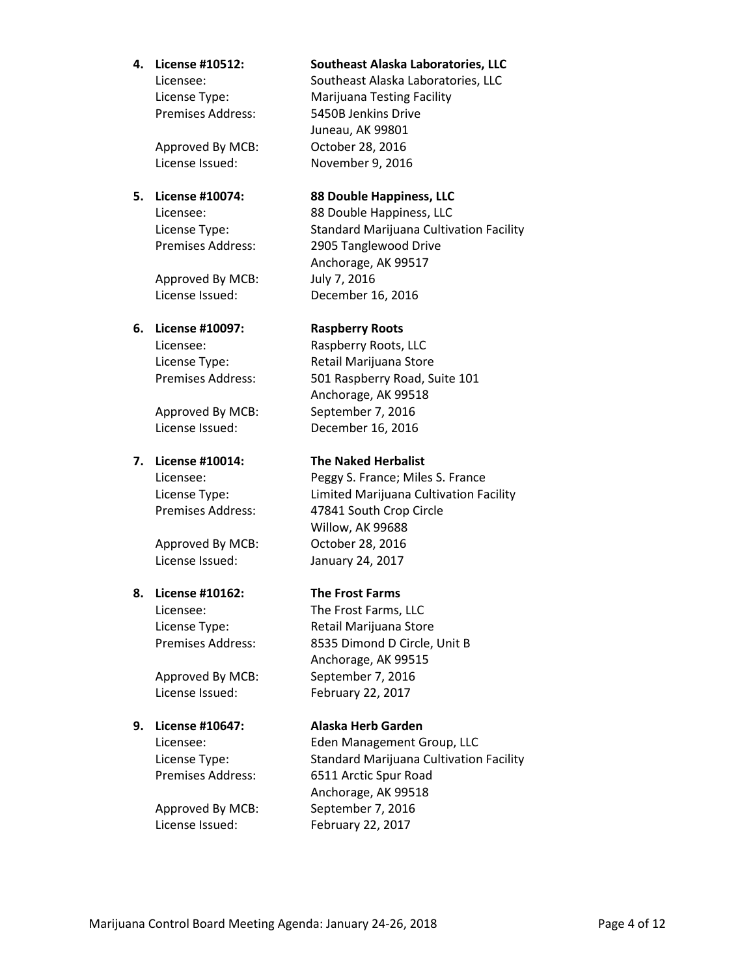Approved By MCB: October 28, 2016 License Issued: November 9, 2016

Approved By MCB: July 7, 2016 License Issued: December 16, 2016

### **6. License #10097: Raspberry Roots**

Approved By MCB: October 28, 2016 License Issued: January 24, 2017

### **8. License #10162: The Frost Farms**

License Issued: February 22, 2017

License Issued: February 22, 2017

### **4. License #10512: Southeast Alaska Laboratories, LLC**

Licensee: Southeast Alaska Laboratories, LLC License Type: Marijuana Testing Facility Premises Address: 5450B Jenkins Drive Juneau, AK 99801

## **5. License #10074: 88 Double Happiness, LLC**

Licensee: 88 Double Happiness, LLC License Type: Standard Marijuana Cultivation Facility Premises Address: 2905 Tanglewood Drive Anchorage, AK 99517

Licensee: Raspberry Roots, LLC License Type: Retail Marijuana Store Premises Address: 501 Raspberry Road, Suite 101 Anchorage, AK 99518 Approved By MCB: September 7, 2016 License Issued: December 16, 2016

### **7. License #10014: The Naked Herbalist**

Licensee: Peggy S. France; Miles S. France License Type: Limited Marijuana Cultivation Facility Premises Address: 47841 South Crop Circle Willow, AK 99688

Licensee: The Frost Farms, LLC License Type: Retail Marijuana Store Premises Address: 8535 Dimond D Circle, Unit B Anchorage, AK 99515 Approved By MCB: September 7, 2016

### **9. License #10647: Alaska Herb Garden**

Licensee: Eden Management Group, LLC License Type: Standard Marijuana Cultivation Facility Premises Address: 6511 Arctic Spur Road Anchorage, AK 99518 Approved By MCB: September 7, 2016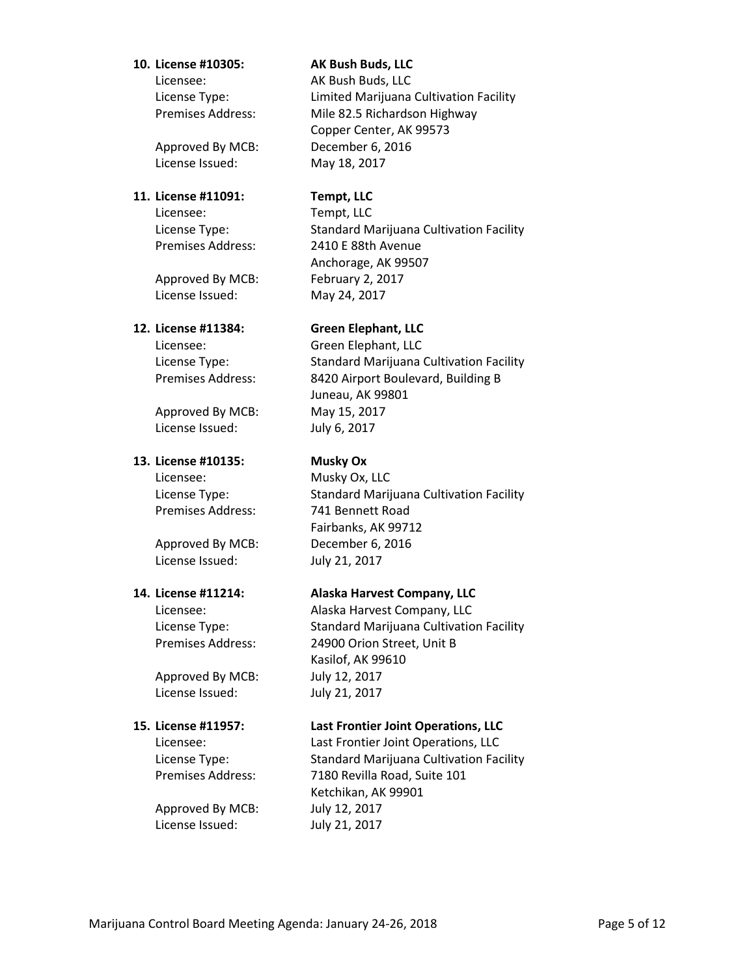### **10. License #10305: AK Bush Buds, LLC**

Licensee: AK Bush Buds, LLC

Approved By MCB: December 6, 2016 License Issued: May 18, 2017

### **11. License #11091: Tempt, LLC**

Licensee: Tempt, LLC

Approved By MCB: February 2, 2017 License Issued: May 24, 2017

Licensee: Green Elephant, LLC

Approved By MCB: May 15, 2017 License Issued: July 6, 2017

### **13. License #10135: Musky Ox**

Licensee: Musky Ox, LLC

License Issued: July 21, 2017

Approved By MCB: July 12, 2017 License Issued: July 21, 2017

Approved By MCB: July 12, 2017 License Issued: July 21, 2017

License Type: Limited Marijuana Cultivation Facility Premises Address: Mile 82.5 Richardson Highway Copper Center, AK 99573

License Type: Standard Marijuana Cultivation Facility Premises Address: 2410 E 88th Avenue Anchorage, AK 99507

### **12. License #11384: Green Elephant, LLC**

License Type: Standard Marijuana Cultivation Facility Premises Address: 8420 Airport Boulevard, Building B Juneau, AK 99801

License Type: Standard Marijuana Cultivation Facility Premises Address: 741 Bennett Road Fairbanks, AK 99712 Approved By MCB: December 6, 2016

### **14. License #11214: Alaska Harvest Company, LLC**

Licensee: Alaska Harvest Company, LLC License Type: Standard Marijuana Cultivation Facility Premises Address: 24900 Orion Street, Unit B Kasilof, AK 99610

### **15. License #11957: Last Frontier Joint Operations, LLC**

Licensee: Last Frontier Joint Operations, LLC License Type: Standard Marijuana Cultivation Facility Premises Address: 7180 Revilla Road, Suite 101 Ketchikan, AK 99901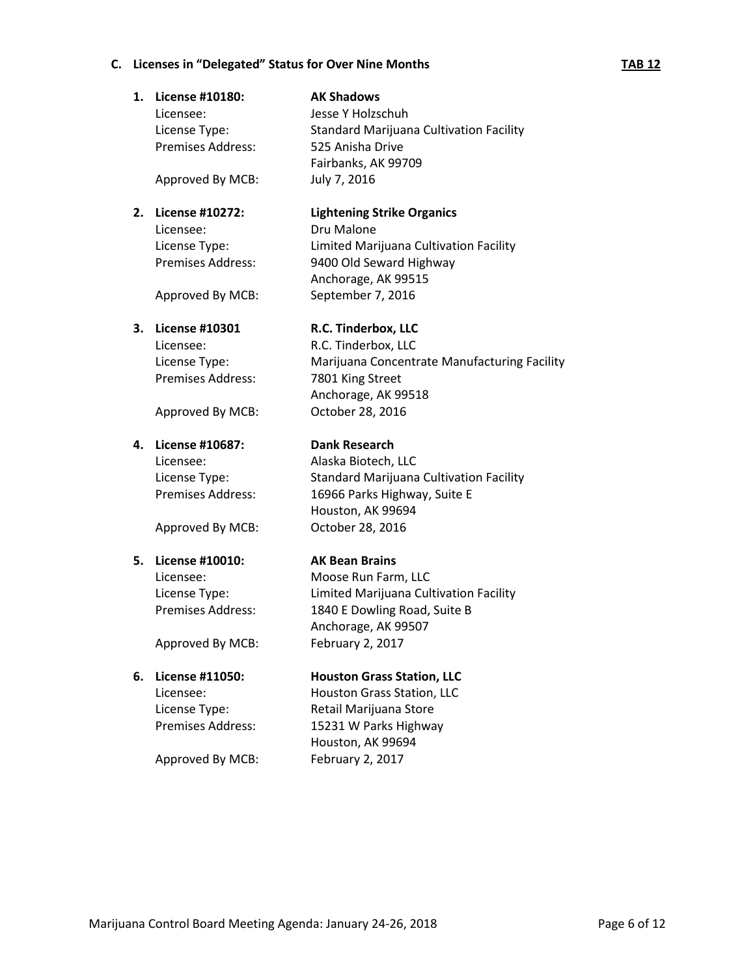# **C. Licenses in "Delegated" Status for Over Nine Months TAB 12**

| 1. | License #10180:<br>Licensee: | <b>AK Shadows</b><br>Jesse Y Holzschuh         |
|----|------------------------------|------------------------------------------------|
|    | License Type:                | <b>Standard Marijuana Cultivation Facility</b> |
|    | Premises Address:            | 525 Anisha Drive                               |
|    |                              | Fairbanks, AK 99709                            |
|    | Approved By MCB:             | July 7, 2016                                   |
| 2. | License #10272:              | <b>Lightening Strike Organics</b>              |
|    | Licensee:                    | Dru Malone                                     |
|    | License Type:                | Limited Marijuana Cultivation Facility         |
|    | Premises Address:            | 9400 Old Seward Highway<br>Anchorage, AK 99515 |
|    | Approved By MCB:             | September 7, 2016                              |
| З. | <b>License #10301</b>        | R.C. Tinderbox, LLC                            |
|    | Licensee:                    | R.C. Tinderbox, LLC                            |
|    | License Type:                | Marijuana Concentrate Manufacturing Facility   |
|    | Premises Address:            | 7801 King Street                               |
|    |                              | Anchorage, AK 99518                            |
|    | Approved By MCB:             | October 28, 2016                               |
| 4. | License #10687:              | <b>Dank Research</b>                           |
|    | Licensee:                    | Alaska Biotech, LLC                            |
|    | License Type:                | <b>Standard Marijuana Cultivation Facility</b> |
|    | <b>Premises Address:</b>     | 16966 Parks Highway, Suite E                   |
|    |                              | Houston, AK 99694                              |
|    | Approved By MCB:             | October 28, 2016                               |
| 5. | License #10010:              | <b>AK Bean Brains</b>                          |
|    | Licensee:                    | Moose Run Farm, LLC                            |
|    | License Type:                | Limited Marijuana Cultivation Facility         |
|    | Premises Address:            | 1840 E Dowling Road, Suite B                   |
|    |                              | Anchorage, AK 99507                            |
|    | Approved By MCB:             | February 2, 2017                               |
| 6. | License #11050:              | <b>Houston Grass Station, LLC</b>              |
|    | Licensee:                    | Houston Grass Station, LLC                     |
|    | License Type:                | Retail Marijuana Store                         |

Premises Address: 15231 W Parks Highway Houston, AK 99694 Approved By MCB: February 2, 2017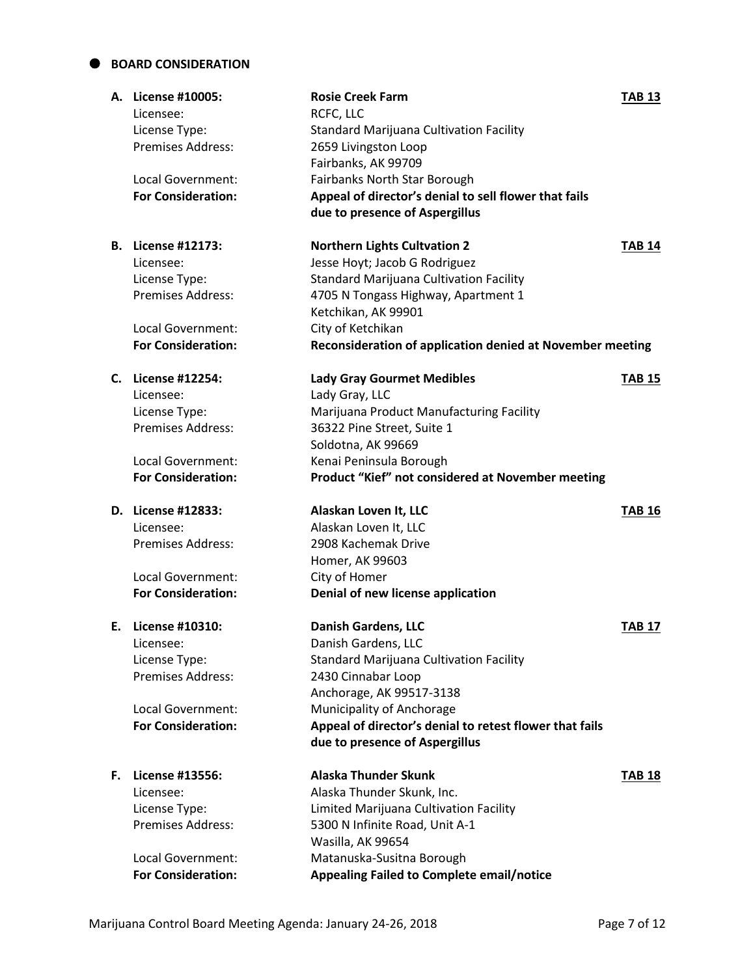## **BOARD CONSIDERATION**

| Licensee:<br>License Type:<br>Premises Address:<br>Local Government:<br><b>For Consideration:</b>                                  | <b>Rosie Creek Farm</b><br>RCFC, LLC<br>Standard Marijuana Cultivation Facility<br>2659 Livingston Loop<br>Fairbanks, AK 99709<br>Fairbanks North Star Borough<br>Appeal of director's denial to sell flower that fails                       | <b>TAB 13</b>                                                                                                                 |
|------------------------------------------------------------------------------------------------------------------------------------|-----------------------------------------------------------------------------------------------------------------------------------------------------------------------------------------------------------------------------------------------|-------------------------------------------------------------------------------------------------------------------------------|
|                                                                                                                                    |                                                                                                                                                                                                                                               |                                                                                                                               |
| Licensee:<br>License Type:<br><b>Premises Address:</b><br><b>Local Government:</b>                                                 | <b>Northern Lights Cultvation 2</b><br>Jesse Hoyt; Jacob G Rodriguez<br><b>Standard Marijuana Cultivation Facility</b><br>4705 N Tongass Highway, Apartment 1<br>Ketchikan, AK 99901<br>City of Ketchikan                                     | <b>TAB 14</b>                                                                                                                 |
|                                                                                                                                    |                                                                                                                                                                                                                                               |                                                                                                                               |
| Licensee:<br>License Type:<br>Premises Address:                                                                                    | <b>Lady Gray Gourmet Medibles</b><br>Lady Gray, LLC<br>Marijuana Product Manufacturing Facility<br>36322 Pine Street, Suite 1<br>Soldotna, AK 99669                                                                                           | <b>TAB 15</b>                                                                                                                 |
| Local Government:<br><b>For Consideration:</b>                                                                                     | Kenai Peninsula Borough<br>Product "Kief" not considered at November meeting                                                                                                                                                                  |                                                                                                                               |
| Licensee:<br><b>Premises Address:</b><br><b>Local Government:</b>                                                                  | Alaskan Loven It, LLC<br>Alaskan Loven It, LLC<br>2908 Kachemak Drive<br>Homer, AK 99603<br>City of Homer                                                                                                                                     | <b>TAB 16</b>                                                                                                                 |
| <b>For Consideration:</b>                                                                                                          | Denial of new license application                                                                                                                                                                                                             |                                                                                                                               |
| License #10310:<br>Licensee:<br>License Type:<br><b>Premises Address:</b><br><b>Local Government:</b><br><b>For Consideration:</b> | <b>Danish Gardens, LLC</b><br>Danish Gardens, LLC<br><b>Standard Marijuana Cultivation Facility</b><br>2430 Cinnabar Loop<br>Anchorage, AK 99517-3138<br>Municipality of Anchorage<br>Appeal of director's denial to retest flower that fails | <b>TAB 17</b>                                                                                                                 |
|                                                                                                                                    |                                                                                                                                                                                                                                               |                                                                                                                               |
| Licensee:<br>License Type:<br><b>Premises Address:</b>                                                                             | <b>Alaska Thunder Skunk</b><br>Alaska Thunder Skunk, Inc.<br>Limited Marijuana Cultivation Facility<br>5300 N Infinite Road, Unit A-1                                                                                                         | <b>TAB 18</b>                                                                                                                 |
|                                                                                                                                    | A. License #10005:<br><b>B.</b> License #12173:<br><b>For Consideration:</b><br>C. License #12254:<br>D. License #12833:<br><b>F.</b> License #13556:                                                                                         | due to presence of Aspergillus<br>Reconsideration of application denied at November meeting<br>due to presence of Aspergillus |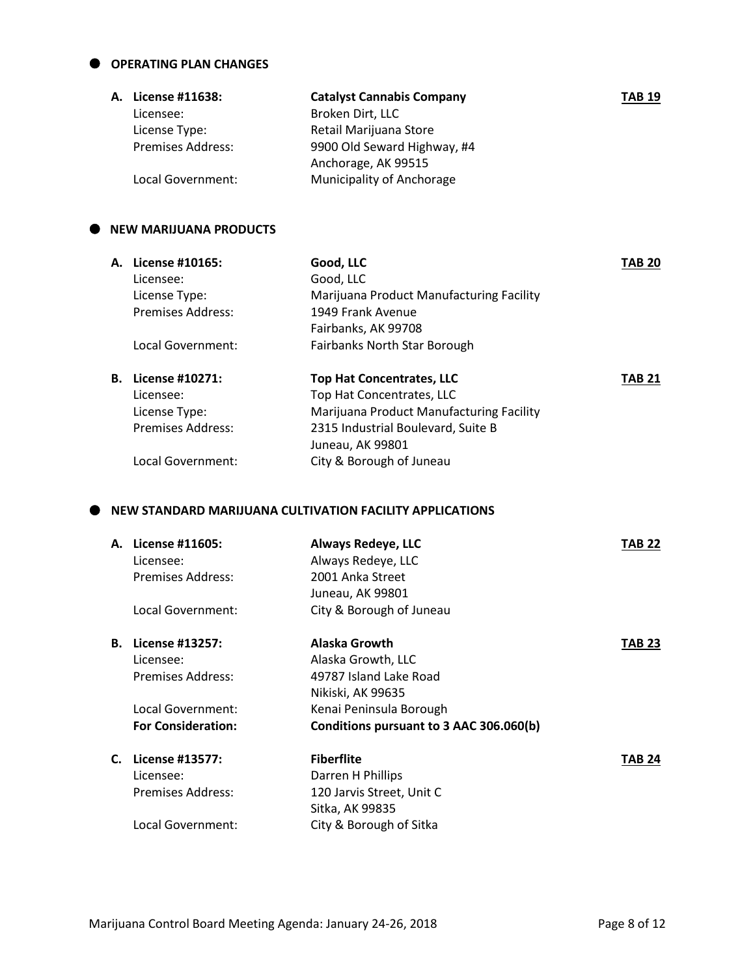### **OPERATING PLAN CHANGES**

| <b>A. License #11638:</b> | <b>Catalyst Cannabis Company</b> | <b>TAB 19</b> |
|---------------------------|----------------------------------|---------------|
| Licensee:                 | Broken Dirt, LLC                 |               |
| License Type:             | Retail Marijuana Store           |               |
| <b>Premises Address:</b>  | 9900 Old Seward Highway, #4      |               |
|                           | Anchorage, AK 99515              |               |
| Local Government:         | Municipality of Anchorage        |               |

### $\bullet$  NEW MARIJUANA PRODUCTS

|    | <b>A.</b> License #10165: | Good, LLC                                | <b>TAB 20</b> |
|----|---------------------------|------------------------------------------|---------------|
|    | Licensee:                 | Good, LLC                                |               |
|    | License Type:             | Marijuana Product Manufacturing Facility |               |
|    | <b>Premises Address:</b>  | 1949 Frank Avenue                        |               |
|    |                           | Fairbanks, AK 99708                      |               |
|    | Local Government:         | Fairbanks North Star Borough             |               |
| В. | License #10271:           | <b>Top Hat Concentrates, LLC</b>         | TAB 21        |
|    | Licensee:                 | Top Hat Concentrates, LLC                |               |
|    | License Type:             | Marijuana Product Manufacturing Facility |               |
|    | <b>Premises Address:</b>  | 2315 Industrial Boulevard, Suite B       |               |
|    |                           | Juneau, AK 99801                         |               |
|    | Local Government:         | City & Borough of Juneau                 |               |

### **NEW STANDARD MARIJUANA CULTIVATION FACILITY APPLICATIONS**

| License #11605:<br>Licensee:<br>Premises Address:<br>Local Government: | <b>Always Redeye, LLC</b><br>Always Redeye, LLC<br>2001 Anka Street<br>Juneau, AK 99801<br>City & Borough of Juneau | TAB 22                              |
|------------------------------------------------------------------------|---------------------------------------------------------------------------------------------------------------------|-------------------------------------|
|                                                                        |                                                                                                                     | TAB 23                              |
| Licensee:                                                              |                                                                                                                     |                                     |
| Premises Address:                                                      | 49787 Island Lake Road                                                                                              |                                     |
|                                                                        | Nikiski, AK 99635                                                                                                   |                                     |
| Local Government:                                                      | Kenai Peninsula Borough                                                                                             |                                     |
| <b>For Consideration:</b>                                              | Conditions pursuant to 3 AAC 306.060(b)                                                                             |                                     |
| License #13577:                                                        | <b>Fiberflite</b>                                                                                                   | TAB 24                              |
| Licensee:                                                              | Darren H Phillips                                                                                                   |                                     |
| <b>Premises Address:</b>                                               | 120 Jarvis Street, Unit C                                                                                           |                                     |
|                                                                        | Sitka, AK 99835                                                                                                     |                                     |
| Local Government:                                                      | City & Borough of Sitka                                                                                             |                                     |
|                                                                        | License #13257:                                                                                                     | Alaska Growth<br>Alaska Growth, LLC |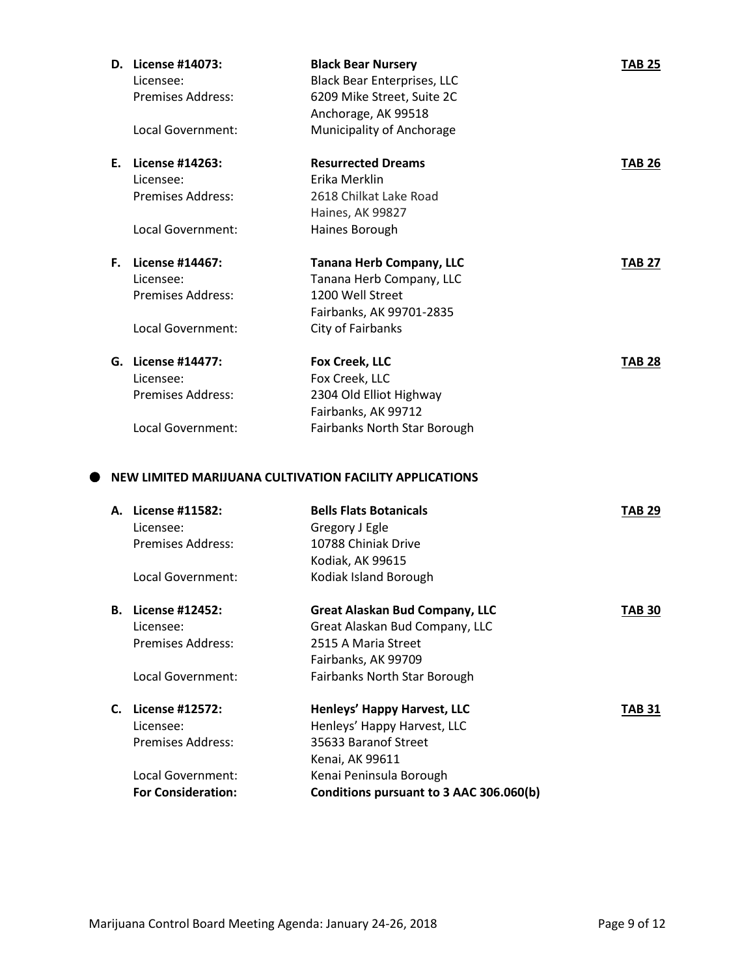|    | D. License #14073:        | <b>Black Bear Nursery</b>                               | <b>TAB 25</b> |
|----|---------------------------|---------------------------------------------------------|---------------|
|    | Licensee:                 | <b>Black Bear Enterprises, LLC</b>                      |               |
|    | Premises Address:         | 6209 Mike Street, Suite 2C                              |               |
|    |                           | Anchorage, AK 99518                                     |               |
|    | <b>Local Government:</b>  | Municipality of Anchorage                               |               |
|    | E. License #14263:        | <b>Resurrected Dreams</b>                               | <b>TAB 26</b> |
|    | Licensee:                 | Erika Merklin                                           |               |
|    | <b>Premises Address:</b>  | 2618 Chilkat Lake Road                                  |               |
|    |                           | Haines, AK 99827                                        |               |
|    | Local Government:         | Haines Borough                                          |               |
|    | F. License #14467:        | <b>Tanana Herb Company, LLC</b>                         | <b>TAB 27</b> |
|    | Licensee:                 | Tanana Herb Company, LLC                                |               |
|    | <b>Premises Address:</b>  | 1200 Well Street                                        |               |
|    |                           | Fairbanks, AK 99701-2835                                |               |
|    | Local Government:         | City of Fairbanks                                       |               |
|    | G. License #14477:        | Fox Creek, LLC                                          | <b>TAB 28</b> |
|    | Licensee:                 | Fox Creek, LLC                                          |               |
|    | Premises Address:         | 2304 Old Elliot Highway                                 |               |
|    |                           | Fairbanks, AK 99712                                     |               |
|    | Local Government:         | Fairbanks North Star Borough                            |               |
|    |                           | NEW LIMITED MARIJUANA CULTIVATION FACILITY APPLICATIONS |               |
|    | A. License #11582:        | <b>Bells Flats Botanicals</b>                           | <b>TAB 29</b> |
|    | Licensee:                 | Gregory J Egle                                          |               |
|    | Premises Address:         | 10788 Chiniak Drive                                     |               |
|    |                           | Kodiak, AK 99615                                        |               |
|    | Local Government:         | Kodiak Island Borough                                   |               |
| в. | License #12452:           | <b>Great Alaskan Bud Company, LLC</b>                   | <b>TAB 30</b> |
|    | Licensee:                 | Great Alaskan Bud Company, LLC                          |               |
|    | <b>Premises Address:</b>  | 2515 A Maria Street                                     |               |
|    |                           | Fairbanks, AK 99709                                     |               |
|    | Local Government:         | Fairbanks North Star Borough                            |               |
|    | C. License #12572:        | Henleys' Happy Harvest, LLC                             | <b>TAB 31</b> |
|    | Licensee:                 | Henleys' Happy Harvest, LLC                             |               |
|    | <b>Premises Address:</b>  | 35633 Baranof Street                                    |               |
|    |                           | Kenai, AK 99611                                         |               |
|    | Local Government:         | Kenai Peninsula Borough                                 |               |
|    | <b>For Consideration:</b> | Conditions pursuant to 3 AAC 306.060(b)                 |               |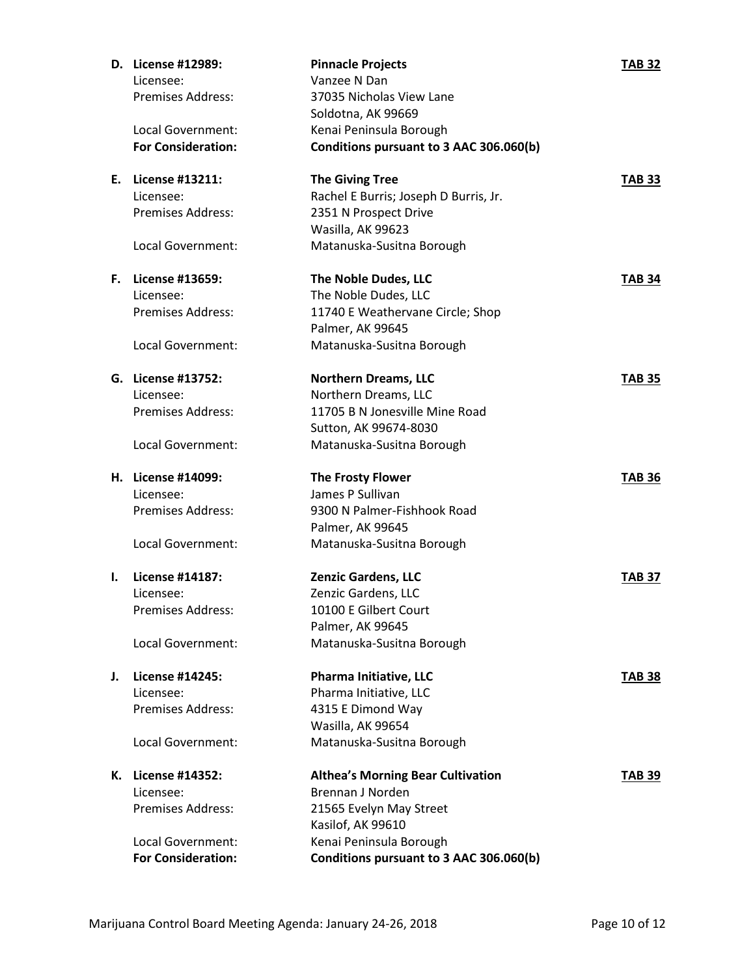|    | D. License #12989:                             | <b>Pinnacle Projects</b>                                           | <b>TAB 32</b> |
|----|------------------------------------------------|--------------------------------------------------------------------|---------------|
|    | Licensee:                                      | Vanzee N Dan                                                       |               |
|    | Premises Address:                              | 37035 Nicholas View Lane                                           |               |
|    |                                                | Soldotna, AK 99669                                                 |               |
|    | Local Government:                              | Kenai Peninsula Borough                                            |               |
|    | <b>For Consideration:</b>                      | Conditions pursuant to 3 AAC 306.060(b)                            |               |
|    | E. License #13211:                             | <b>The Giving Tree</b>                                             | <b>TAB 33</b> |
|    | Licensee:                                      | Rachel E Burris; Joseph D Burris, Jr.                              |               |
|    | <b>Premises Address:</b>                       | 2351 N Prospect Drive                                              |               |
|    |                                                | Wasilla, AK 99623                                                  |               |
|    | Local Government:                              | Matanuska-Susitna Borough                                          |               |
| F. | <b>License #13659:</b>                         | The Noble Dudes, LLC                                               | <b>TAB 34</b> |
|    | Licensee:                                      | The Noble Dudes, LLC                                               |               |
|    | <b>Premises Address:</b>                       | 11740 E Weathervane Circle; Shop                                   |               |
|    |                                                | Palmer, AK 99645                                                   |               |
|    | Local Government:                              | Matanuska-Susitna Borough                                          |               |
|    | G. License #13752:                             | <b>Northern Dreams, LLC</b>                                        | <b>TAB 35</b> |
|    | Licensee:                                      | Northern Dreams, LLC                                               |               |
|    | <b>Premises Address:</b>                       | 11705 B N Jonesville Mine Road                                     |               |
|    |                                                | Sutton, AK 99674-8030                                              |               |
|    | Local Government:                              | Matanuska-Susitna Borough                                          |               |
|    | H. License #14099:                             | <b>The Frosty Flower</b>                                           |               |
|    |                                                |                                                                    | <b>TAB 36</b> |
|    | Licensee:                                      | James P Sullivan                                                   |               |
|    | Premises Address:                              | 9300 N Palmer-Fishhook Road                                        |               |
|    |                                                | Palmer, AK 99645                                                   |               |
|    | Local Government:                              | Matanuska-Susitna Borough                                          |               |
| ı. | License #14187:                                | <b>Zenzic Gardens, LLC</b>                                         | <b>TAB 37</b> |
|    | Licensee:                                      | Zenzic Gardens, LLC                                                |               |
|    | Premises Address:                              | 10100 E Gilbert Court                                              |               |
|    |                                                | Palmer, AK 99645                                                   |               |
|    | Local Government:                              | Matanuska-Susitna Borough                                          |               |
| J. | License #14245:                                | Pharma Initiative, LLC                                             | <b>TAB 38</b> |
|    | Licensee:                                      | Pharma Initiative, LLC                                             |               |
|    | Premises Address:                              | 4315 E Dimond Way                                                  |               |
|    |                                                | Wasilla, AK 99654                                                  |               |
|    | Local Government:                              | Matanuska-Susitna Borough                                          |               |
| К. | License #14352:                                | <b>Althea's Morning Bear Cultivation</b>                           | <b>TAB 39</b> |
|    | Licensee:                                      | Brennan J Norden                                                   |               |
|    | <b>Premises Address:</b>                       | 21565 Evelyn May Street                                            |               |
|    |                                                | Kasilof, AK 99610                                                  |               |
|    | Local Government:<br><b>For Consideration:</b> | Kenai Peninsula Borough<br>Conditions pursuant to 3 AAC 306.060(b) |               |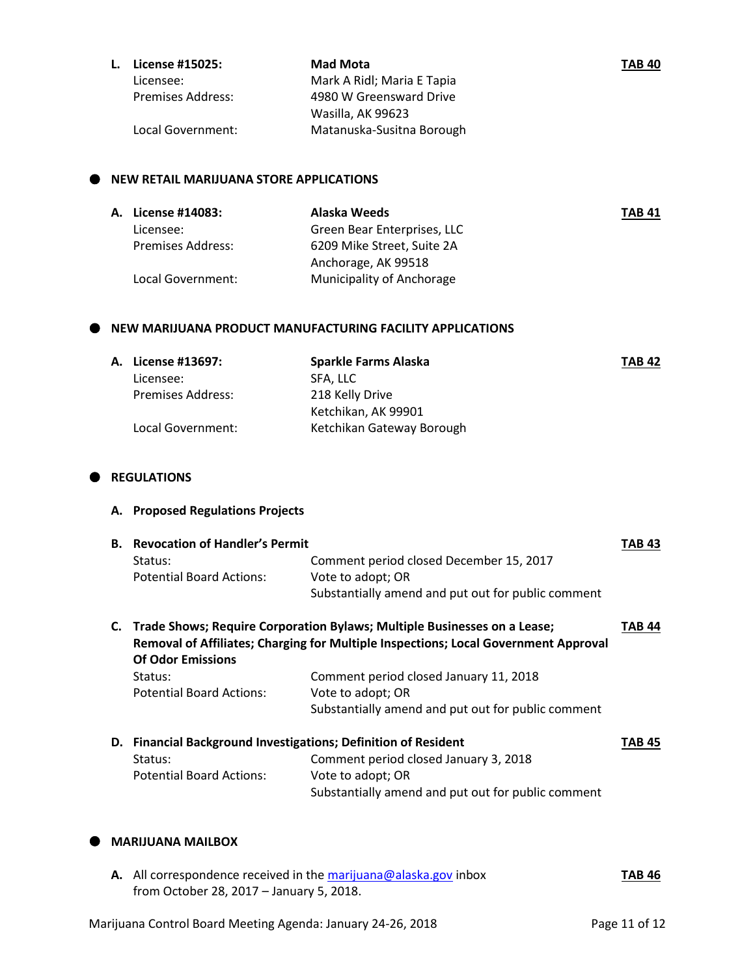| L. | License #15025:   | Mad Mota                   | <b>TAB 40</b> |
|----|-------------------|----------------------------|---------------|
|    | Licensee:         | Mark A Ridl; Maria E Tapia |               |
|    | Premises Address: | 4980 W Greensward Drive    |               |
|    |                   | Wasilla, AK 99623          |               |
|    | Local Government: | Matanuska-Susitna Borough  |               |

### $\bullet$  NEW RETAIL MARIJUANA STORE APPLICATIONS

|                          | Alaska Weeds                | <b>TAB 41</b> |
|--------------------------|-----------------------------|---------------|
| Licensee:                | Green Bear Enterprises, LLC |               |
| <b>Premises Address:</b> | 6209 Mike Street, Suite 2A  |               |
|                          | Anchorage, AK 99518         |               |
| Local Government:        | Municipality of Anchorage   |               |
|                          | <b>A. License #14083:</b>   |               |

### **NEW MARIJUANA PRODUCT MANUFACTURING FACILITY APPLICATIONS**

| A. License #13697:       | Sparkle Farms Alaska      | <b>TAB 42</b> |
|--------------------------|---------------------------|---------------|
| Licensee:                | SFA. LLC                  |               |
| <b>Premises Address:</b> | 218 Kelly Drive           |               |
|                          | Ketchikan, AK 99901       |               |
| Local Government:        | Ketchikan Gateway Borough |               |

### $\bullet$  REGULATIONS

# **A. Proposed Regulations Projects**

| В.   | <b>Revocation of Handler's Permit</b>                              |                                                                                     | TAB 43 |
|------|--------------------------------------------------------------------|-------------------------------------------------------------------------------------|--------|
|      | Status:                                                            | Comment period closed December 15, 2017                                             |        |
|      | <b>Potential Board Actions:</b>                                    | Vote to adopt; OR                                                                   |        |
|      |                                                                    | Substantially amend and put out for public comment                                  |        |
| С. – |                                                                    | Trade Shows; Require Corporation Bylaws; Multiple Businesses on a Lease;            | TAB 44 |
|      |                                                                    | Removal of Affiliates; Charging for Multiple Inspections; Local Government Approval |        |
|      | <b>Of Odor Emissions</b>                                           |                                                                                     |        |
|      | Status:                                                            | Comment period closed January 11, 2018                                              |        |
|      | <b>Potential Board Actions:</b>                                    | Vote to adopt; OR                                                                   |        |
|      |                                                                    | Substantially amend and put out for public comment                                  |        |
| D.   | <b>Financial Background Investigations; Definition of Resident</b> |                                                                                     | TAB 45 |
|      | Status:                                                            | Comment period closed January 3, 2018                                               |        |
|      | <b>Potential Board Actions:</b>                                    | Vote to adopt; OR                                                                   |        |
|      |                                                                    | Substantially amend and put out for public comment                                  |        |
|      |                                                                    |                                                                                     |        |

### **MARIJUANA MAILBOX**

| A. All correspondence received in the marijuana@alaska.gov inbox | <b>TAB 46</b> |
|------------------------------------------------------------------|---------------|
| from October 28, 2017 – January 5, 2018.                         |               |